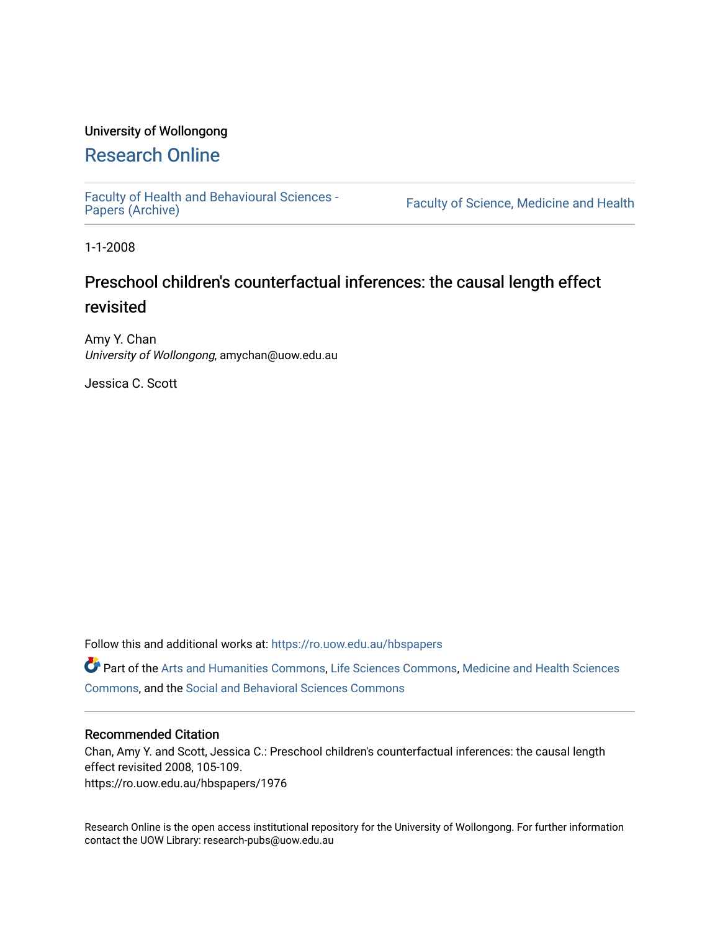# University of Wollongong

# [Research Online](https://ro.uow.edu.au/)

[Faculty of Health and Behavioural Sciences -](https://ro.uow.edu.au/hbspapers)<br>Papers (Archive)

Faculty of Science, Medicine and Health

1-1-2008

# Preschool children's counterfactual inferences: the causal length effect revisited

Amy Y. Chan University of Wollongong, amychan@uow.edu.au

Jessica C. Scott

Follow this and additional works at: [https://ro.uow.edu.au/hbspapers](https://ro.uow.edu.au/hbspapers?utm_source=ro.uow.edu.au%2Fhbspapers%2F1976&utm_medium=PDF&utm_campaign=PDFCoverPages) 

Part of the [Arts and Humanities Commons,](http://network.bepress.com/hgg/discipline/438?utm_source=ro.uow.edu.au%2Fhbspapers%2F1976&utm_medium=PDF&utm_campaign=PDFCoverPages) [Life Sciences Commons,](http://network.bepress.com/hgg/discipline/1016?utm_source=ro.uow.edu.au%2Fhbspapers%2F1976&utm_medium=PDF&utm_campaign=PDFCoverPages) [Medicine and Health Sciences](http://network.bepress.com/hgg/discipline/648?utm_source=ro.uow.edu.au%2Fhbspapers%2F1976&utm_medium=PDF&utm_campaign=PDFCoverPages) [Commons](http://network.bepress.com/hgg/discipline/648?utm_source=ro.uow.edu.au%2Fhbspapers%2F1976&utm_medium=PDF&utm_campaign=PDFCoverPages), and the [Social and Behavioral Sciences Commons](http://network.bepress.com/hgg/discipline/316?utm_source=ro.uow.edu.au%2Fhbspapers%2F1976&utm_medium=PDF&utm_campaign=PDFCoverPages)

## Recommended Citation

Chan, Amy Y. and Scott, Jessica C.: Preschool children's counterfactual inferences: the causal length effect revisited 2008, 105-109. https://ro.uow.edu.au/hbspapers/1976

Research Online is the open access institutional repository for the University of Wollongong. For further information contact the UOW Library: research-pubs@uow.edu.au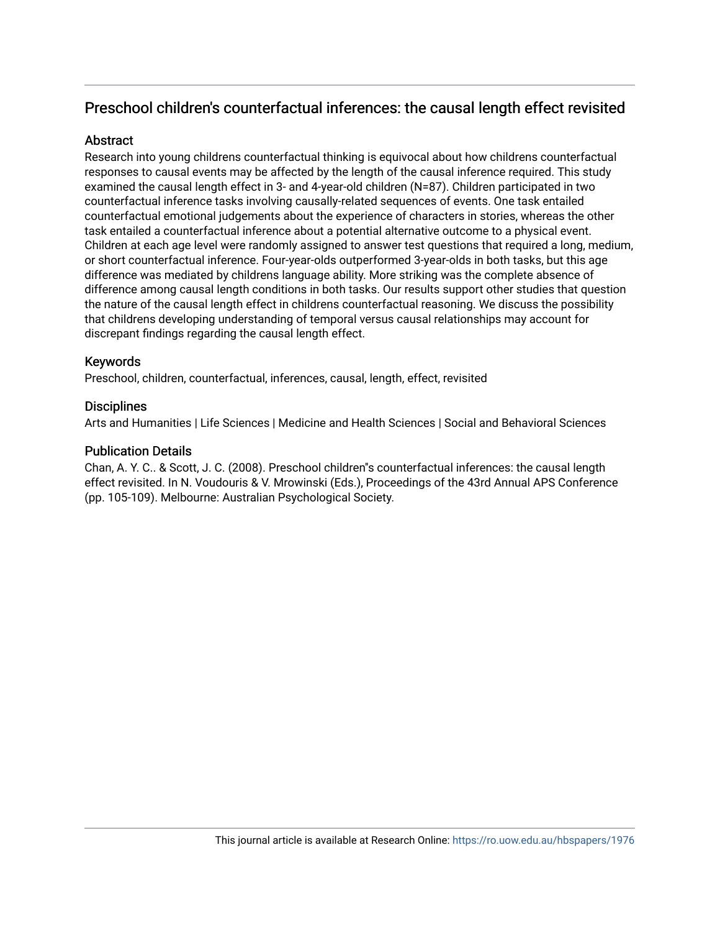# Preschool children's counterfactual inferences: the causal length effect revisited

# **Abstract**

Research into young childrens counterfactual thinking is equivocal about how childrens counterfactual responses to causal events may be affected by the length of the causal inference required. This study examined the causal length effect in 3- and 4-year-old children (N=87). Children participated in two counterfactual inference tasks involving causally-related sequences of events. One task entailed counterfactual emotional judgements about the experience of characters in stories, whereas the other task entailed a counterfactual inference about a potential alternative outcome to a physical event. Children at each age level were randomly assigned to answer test questions that required a long, medium, or short counterfactual inference. Four-year-olds outperformed 3-year-olds in both tasks, but this age difference was mediated by childrens language ability. More striking was the complete absence of difference among causal length conditions in both tasks. Our results support other studies that question the nature of the causal length effect in childrens counterfactual reasoning. We discuss the possibility that childrens developing understanding of temporal versus causal relationships may account for discrepant findings regarding the causal length effect.

# Keywords

Preschool, children, counterfactual, inferences, causal, length, effect, revisited

# **Disciplines**

Arts and Humanities | Life Sciences | Medicine and Health Sciences | Social and Behavioral Sciences

## Publication Details

Chan, A. Y. C.. & Scott, J. C. (2008). Preschool children''s counterfactual inferences: the causal length effect revisited. In N. Voudouris & V. Mrowinski (Eds.), Proceedings of the 43rd Annual APS Conference (pp. 105-109). Melbourne: Australian Psychological Society.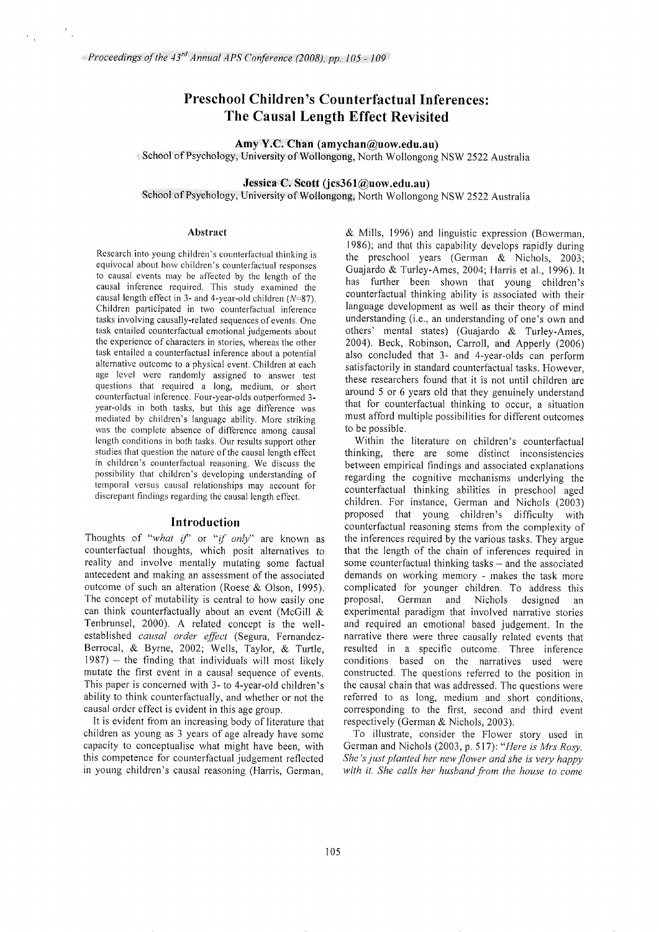Reflection Proceedings of the 43<sup>rd</sup> Annual APS Conference (2008), pp. 105 - 109

 $\mathbf{s}=\frac{1}{\sqrt{2}}$ 

# **Preschool Children's Counterfactual Inferences:** The Causal Length Effect Revisited

Amy Y.C. Chan (amychan@uow.edu.au) School of Psychology, University of Wollongong, North Wollongong NSW 2522 Australia

### Jessica C. Scott ( $ics361@uow.edu.au$ )

School of Psychology, University of Wollongong, North Wollongong NSW 2522 Australia

#### Abstract

Research into young children's counterfactual thinking is equivocal about how children's counterfactual responses to causal events may be affected by the length of the causal inference required. This study examined the causal length effect in 3- and 4-year-old children  $(N=87)$ . Children participated in two counterfactual inference tasks involving causally-related sequences of events. One task entailed counterfactual emotional judgements about the experience of characters in stories, whereas the other task entailed a counterfactual inference about a potential alternative outcome to a physical event. Children at each age level were randomly assigned to answer test questions that required a long, medium, or short counterfactual inference. Four-year-olds outperformed 3year-olds in both tasks, but this age difference was mediated by children's language ability. More striking was the complete absence of difference among causal length conditions in both tasks. Our results support other studies that question the nature of the causal length effect in children's counterfactual reasoning. We discuss the possibility that children's developing understanding of temporal versus causal relationships may account for discrepant findings regarding the causal length effect.

### Introduction

Thoughts of "what if" or "if only" are known as counterfactual thoughts, which posit alternatives to reality and involve mentally mutating some factual antecedent and making an assessment of the associated outcome of such an alteration (Roese & Olson, 1995). The concept of mutability is central to how easily one can think counterfactually about an event (McGill & Tenbrunsel, 2000). A related concept is the wellestablished causal order effect (Segura, Fernandez-Berrocal, & Byrne, 2002; Wells, Taylor, & Turtle, 1987) - the finding that individuals will most likely mutate the first event in a causal sequence of events. This paper is concerned with 3- to 4-year-old children's ability to think counterfactually, and whether or not the causal order effect is evident in this age group.

It is evident from an increasing body of literature that children as young as 3 years of age already have some capacity to conceptualise what might have been, with this competence for counterfactual judgement reflected in young children's causal reasoning (Harris, German,

& Mills, 1996) and linguistic expression (Bowerman, 1986); and that this capability develops rapidly during the preschool years (German & Nichols, 2003; Guajardo & Turley-Ames, 2004; Harris et al., 1996). It has further been shown that young children's counterfactual thinking ability is associated with their language development as well as their theory of mind understanding (i.e., an understanding of one's own and others' mental states) (Guajardo & Turley-Ames, 2004). Beck, Robinson, Carroll, and Apperly (2006) also concluded that 3- and 4-year-olds can perform satisfactorily in standard counterfactual tasks. However, these researchers found that it is not until children are around 5 or 6 years old that they genuinely understand that for counterfactual thinking to occur, a situation must afford multiple possibilities for different outcomes to be possible.

Within the literature on children's counterfactual thinking, there are some distinct inconsistencies between empirical findings and associated explanations regarding the cognitive mechanisms underlying the counterfactual thinking abilities in preschool aged children. For instance, German and Nichols (2003) proposed that young children's difficulty with counterfactual reasoning stems from the complexity of the inferences required by the various tasks. They argue that the length of the chain of inferences required in some counterfactual thinking tasks - and the associated demands on working memory - makes the task more complicated for younger children. To address this proposal, German and Nichols designed an experimental paradigm that involved narrative stories and required an emotional based judgement. In the narrative there were three causally related events that resulted in a specific outcome. Three inference conditions based on the narratives used were constructed. The questions referred to the position in the causal chain that was addressed. The questions were referred to as long, medium and short conditions, corresponding to the first, second and third event respectively (German & Nichols, 2003).

To illustrate, consider the Flower story used in German and Nichols (2003, p. 517): "Here is Mrs Rosy. She's just planted her new flower and she is very happy with it. She calls her husband from the house to come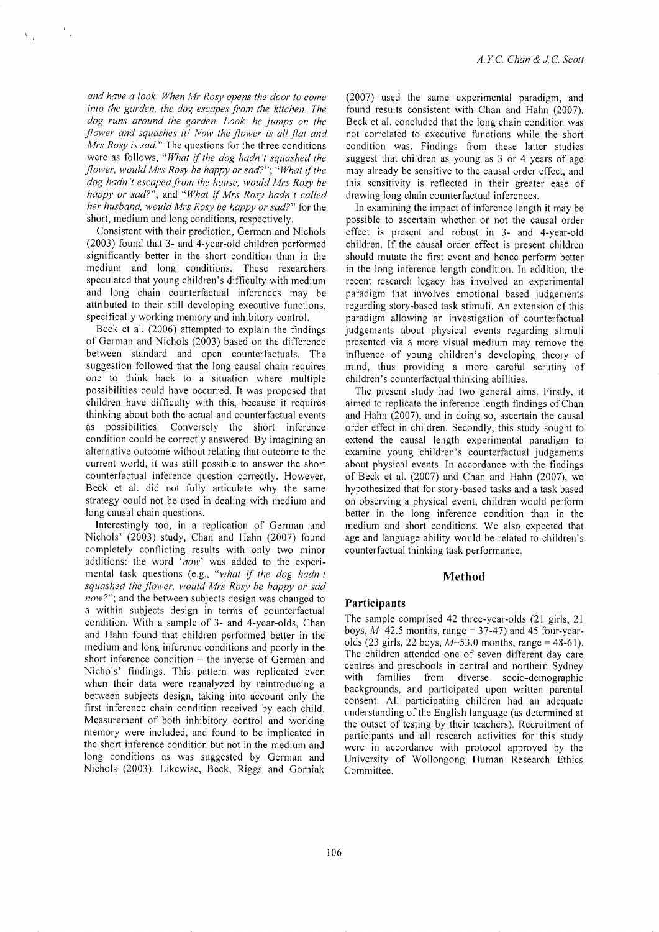and have a look. When Mr Rosy opens the door to come into the garden, the dog escapes from the kitchen. The dog runs around the garden. Look, he jumps on the flower and squashes it! Now the flower is all flat and Mrs Rosy is sad." The questions for the three conditions were as follows, "What if the dog hadn't squashed the flower, would Mrs Rosy be happy or sad?"; "What if the dog hadn't escaped from the house, would Mrs Rosy be happy or sad?"; and "What if Mrs Rosy hadn't called her husband, would Mrs Rosy be happy or sad?" for the short, medium and long conditions, respectively.

Consistent with their prediction, German and Nichols (2003) found that 3- and 4-year-old children performed significantly better in the short condition than in the medium and long conditions. These researchers speculated that young children's difficulty with medium and long chain counterfactual inferences may be attributed to their still developing executive functions. specifically working memory and inhibitory control.

Beck et al. (2006) attempted to explain the findings of German and Nichols (2003) based on the difference between standard and open counterfactuals. The suggestion followed that the long causal chain requires one to think back to a situation where multiple possibilities could have occurred. It was proposed that children have difficulty with this, because it requires thinking about both the actual and counterfactual events as possibilities. Conversely the short inference condition could be correctly answered. By imagining an alternative outcome without relating that outcome to the current world, it was still possible to answer the short counterfactual inference question correctly. However, Beck et al. did not fully articulate why the same strategy could not be used in dealing with medium and long causal chain questions.

Interestingly too, in a replication of German and Nichols' (2003) study, Chan and Hahn (2007) found completely conflicting results with only two minor additions: the word 'now' was added to the experimental task questions (e.g., "what if the dog hadn't squashed the flower, would Mrs Rosy be happy or sad now?"; and the between subjects design was changed to a within subjects design in terms of counterfactual condition. With a sample of 3- and 4-year-olds, Chan and Hahn found that children performed better in the medium and long inference conditions and poorly in the short inference condition - the inverse of German and Nichols' findings. This pattern was replicated even when their data were reanalyzed by reintroducing a between subjects design, taking into account only the first inference chain condition received by each child. Measurement of both inhibitory control and working memory were included, and found to be implicated in the short inference condition but not in the medium and long conditions as was suggested by German and Nichols (2003). Likewise, Beck, Riggs and Gorniak (2007) used the same experimental paradigm, and found results consistent with Chan and Hahn (2007). Beck et al. concluded that the long chain condition was not correlated to executive functions while the short condition was. Findings from these latter studies suggest that children as young as 3 or 4 years of age may already be sensitive to the causal order effect, and this sensitivity is reflected in their greater ease of drawing long chain counterfactual inferences.

In examining the impact of inference length it may be possible to ascertain whether or not the causal order effect is present and robust in 3- and 4-year-old children. If the causal order effect is present children should mutate the first event and hence perform better in the long inference length condition. In addition, the recent research legacy has involved an experimental paradigm that involves emotional based judgements regarding story-based task stimuli. An extension of this paradigm allowing an investigation of counterfactual judgements about physical events regarding stimuli presented via a more visual medium may remove the influence of young children's developing theory of mind, thus providing a more careful scrutiny of children's counterfactual thinking abilities.

The present study had two general aims. Firstly, it aimed to replicate the inference length findings of Chan and Hahn (2007), and in doing so, ascertain the causal order effect in children. Secondly, this study sought to extend the causal length experimental paradigm to examine young children's counterfactual judgements about physical events. In accordance with the findings of Beck et al. (2007) and Chan and Hahn (2007), we hypothesized that for story-based tasks and a task based on observing a physical event, children would perform better in the long inference condition than in the medium and short conditions. We also expected that age and language ability would be related to children's counterfactual thinking task performance.

### Method

## Participants

The sample comprised 42 three-year-olds (21 girls, 21 boys,  $M=42.5$  months, range = 37-47) and 45 four-yearolds (23 girls, 22 boys,  $M=53.0$  months, range = 48-61). The children attended one of seven different day care centres and preschools in central and northern Sydney with families from diverse socio-demographic backgrounds, and participated upon written parental consent. All participating children had an adequate understanding of the English language (as determined at the outset of testing by their teachers). Recruitment of participants and all research activities for this study were in accordance with protocol approved by the University of Wollongong Human Research Ethics Committee.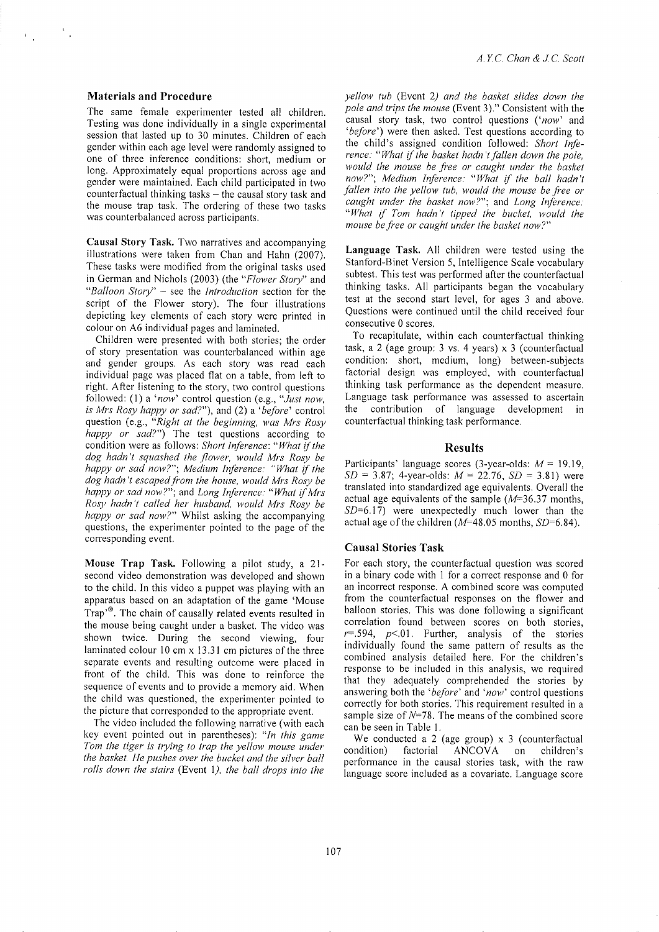### **Materials and Procedure**

The same female experimenter tested all children. Testing was done individually in a single experimental session that lasted up to 30 minutes. Children of each gender within each age level were randomly assigned to one of three inference conditions: short, medium or long. Approximately equal proportions across age and gender were maintained. Each child participated in two counterfactual thinking tasks - the causal story task and the mouse trap task. The ordering of these two tasks was counterbalanced across participants.

Causal Story Task. Two narratives and accompanying illustrations were taken from Chan and Hahn (2007). These tasks were modified from the original tasks used in German and Nichols (2003) (the "Flower Story" and "Balloon Story" – see the Introduction section for the script of the Flower story). The four illustrations depicting key elements of each story were printed in colour on A6 individual pages and laminated.

Children were presented with both stories; the order of story presentation was counterbalanced within age and gender groups. As each story was read each individual page was placed flat on a table, from left to right. After listening to the story, two control questions followed: (1) a 'now' control question (e.g., "Just now, is Mrs Rosy happy or sad?"), and (2) a 'before' control question (e.g., "Right at the beginning, was Mrs Rosy happy or sad?") The test questions according to condition were as follows: Short Inference: "What if the dog hadn't squashed the flower, would Mrs Rosy be happy or sad now?"; Medium Inference: "What if the dog hadn't escaped from the house, would Mrs Rosy be happy or sad now?"; and Long Inference: "What if Mrs Rosy hadn't called her husband, would Mrs Rosy be happy or sad now?" Whilst asking the accompanying questions, the experimenter pointed to the page of the corresponding event.

Mouse Trap Task. Following a pilot study, a 21second video demonstration was developed and shown to the child. In this video a puppet was playing with an apparatus based on an adaptation of the game 'Mouse Trap'<sup>®</sup>. The chain of causally related events resulted in the mouse being caught under a basket. The video was shown twice. During the second viewing, four laminated colour 10 cm  $\times$  13.31 cm pictures of the three separate events and resulting outcome were placed in front of the child. This was done to reinforce the sequence of events and to provide a memory aid. When the child was questioned, the experimenter pointed to the picture that corresponded to the appropriate event.

The video included the following narrative (with each key event pointed out in parentheses): "In this game Tom the tiger is trying to trap the yellow mouse under the basket. He pushes over the bucket and the silver ball rolls down the stairs (Event 1), the ball drops into the

yellow tub (Event 2) and the basket slides down the pole and trips the mouse (Event 3)." Consistent with the causal story task, two control questions ('now' and 'before') were then asked. Test questions according to the child's assigned condition followed: Short Inference: "What if the basket hadn't fallen down the pole, would the mouse be free or caught under the basket now?"; Medium Inference: "What if the ball hadn't fallen into the yellow tub, would the mouse be free or caught under the basket now?"; and Long Inference: "What if Tom hadn't tipped the bucket, would the mouse be free or caught under the basket now?"

Language Task. All children were tested using the Stanford-Binet Version 5, Intelligence Scale vocabulary subtest. This test was performed after the counterfactual thinking tasks. All participants began the vocabulary test at the second start level, for ages 3 and above. Ouestions were continued until the child received four consecutive 0 scores.

To recapitulate, within each counterfactual thinking task, a 2 (age group:  $3$  vs.  $4$  years) x  $3$  (counterfactual condition: short, medium, long) between-subjects factorial design was employed, with counterfactual thinking task performance as the dependent measure. Language task performance was assessed to ascertain the contribution of language development in counterfactual thinking task performance.

### **Results**

Participants' language scores (3-year-olds:  $M = 19.19$ ,  $SD = 3.87$ ; 4-year-olds:  $M = 22.76$ ,  $SD = 3.81$ ) were translated into standardized age equivalents. Overall the actual age equivalents of the sample  $(M=36.37$  months,  $SD=6.17$ ) were unexpectedly much lower than the actual age of the children  $(M=48.05 \text{ months}, SD=6.84)$ .

#### **Causal Stories Task**

For each story, the counterfactual question was scored in a binary code with 1 for a correct response and 0 for an incorrect response. A combined score was computed from the counterfactual responses on the flower and balloon stories. This was done following a significant correlation found between scores on both stories,  $r=.594$ ,  $p<.01$ . Further, analysis of the stories individually found the same pattern of results as the combined analysis detailed here. For the children's response to be included in this analysis, we required that they adequately comprehended the stories by answering both the '*before*' and 'now' control questions correctly for both stories. This requirement resulted in a sample size of  $N=78$ . The means of the combined score can be seen in Table 1.

We conducted a 2 (age group)  $x$  3 (counterfactual condition) factorial ANCOVA on children's performance in the causal stories task, with the raw language score included as a covariate. Language score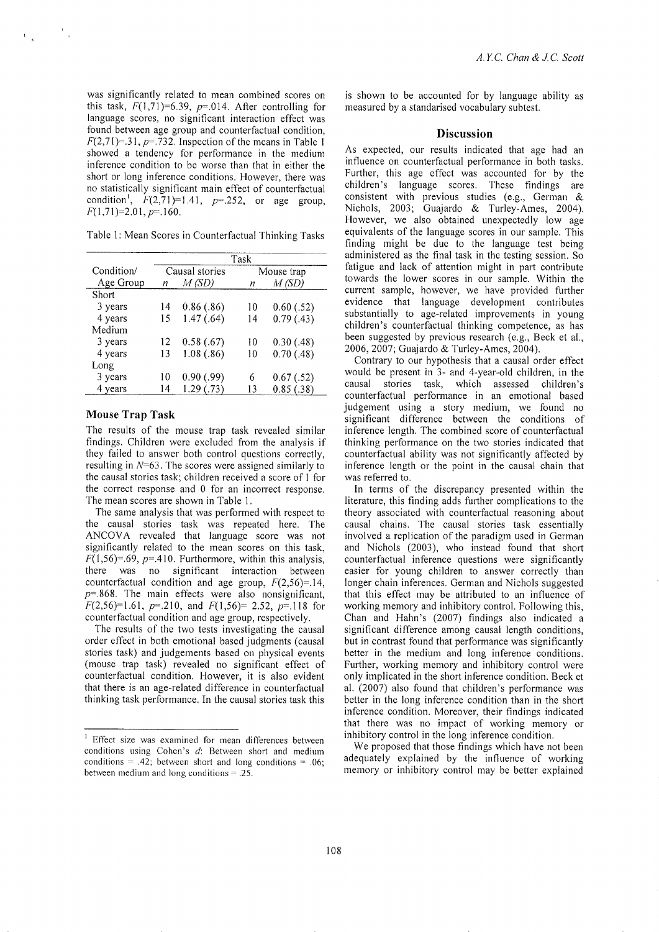was significantly related to mean combined scores on this task,  $F(1,71)=6.39$ ,  $p=0.014$ . After controlling for language scores, no significant interaction effect was found between age group and counterfactual condition,  $F(2,71)=31, p=.732$ . Inspection of the means in Table 1 showed a tendency for performance in the medium inference condition to be worse than that in either the short or long inference conditions. However, there was no statistically significant main effect of counterfactual condition<sup>1</sup>,  $F(2,71)=1.41$ ,  $p=.252$ , or age group,  $F(1,71)=2.01, p=.160.$ 

Table 1: Mean Scores in Counterfactual Thinking Tasks

| Task           |            |            |            |
|----------------|------------|------------|------------|
| Causal stories |            | Mouse trap |            |
| n              | M (SD)     | n          | M (SD)     |
|                |            |            |            |
| 14             | 0.86(86)   | 10         | 0.60(.52)  |
| 15             | 1.47(0.64) | 14         | 0.79(0.43) |
|                |            |            |            |
| 12             | 0.58(.67)  | 10         | 0.30(0.48) |
| 13             | 1.08(.86)  | 10         | 0.70(0.48) |
|                |            |            |            |
| 10             | 0.90(0.99) | 6          | 0.67(0.52) |
| 14             | 1.29(.73)  | 13         | 0.85(.38)  |
|                |            |            |            |

### **Mouse Trap Task**

 $\frac{1}{2}$  .

The results of the mouse trap task revealed similar findings. Children were excluded from the analysis if they failed to answer both control questions correctly, resulting in  $N=63$ . The scores were assigned similarly to the causal stories task; children received a score of 1 for the correct response and 0 for an incorrect response. The mean scores are shown in Table 1.

The same analysis that was performed with respect to the causal stories task was repeated here. The ANCOVA revealed that language score was not significantly related to the mean scores on this task,  $F(1,56)=69$ ,  $p=.410$ . Furthermore, within this analysis, was no significant interaction between there counterfactual condition and age group,  $F(2,56)=.14$ ,  $p=.868$ . The main effects were also nonsignificant,  $F(2,56)=1.61$ ,  $p=.210$ , and  $F(1,56)=2.52$ ,  $p=.118$  for counterfactual condition and age group, respectively.

The results of the two tests investigating the causal order effect in both emotional based judgments (causal stories task) and judgements based on physical events (mouse trap task) revealed no significant effect of counterfactual condition. However, it is also evident that there is an age-related difference in counterfactual thinking task performance. In the causal stories task this is shown to be accounted for by language ability as measured by a standarised vocabulary subtest.

### **Discussion**

As expected, our results indicated that age had an influence on counterfactual performance in both tasks. Further, this age effect was accounted for by the children's language scores. These findings are consistent with previous studies (e.g., German & Nichols, 2003; Guajardo & Turley-Ames, 2004). However, we also obtained unexpectedly low age equivalents of the language scores in our sample. This finding might be due to the language test being administered as the final task in the testing session. So fatigue and lack of attention might in part contribute towards the lower scores in our sample. Within the current sample, however, we have provided further evidence that language development contributes substantially to age-related improvements in young children's counterfactual thinking competence, as has been suggested by previous research (e.g., Beck et al., 2006, 2007; Guajardo & Turley-Ames, 2004).

Contrary to our hypothesis that a causal order effect would be present in 3- and 4-year-old children, in the causal stories task, which assessed children's counterfactual performance in an emotional based judgement using a story medium, we found no significant difference between the conditions of inference length. The combined score of counterfactual thinking performance on the two stories indicated that counterfactual ability was not significantly affected by inference length or the point in the causal chain that was referred to.

In terms of the discrepancy presented within the literature, this finding adds further complications to the theory associated with counterfactual reasoning about causal chains. The causal stories task essentially involved a replication of the paradigm used in German and Nichols (2003), who instead found that short counterfactual inference questions were significantly easier for young children to answer correctly than longer chain inferences. German and Nichols suggested that this effect may be attributed to an influence of working memory and inhibitory control. Following this, Chan and Hahn's (2007) findings also indicated a significant difference among causal length conditions, but in contrast found that performance was significantly better in the medium and long inference conditions. Further, working memory and inhibitory control were only implicated in the short inference condition. Beck et al. (2007) also found that children's performance was better in the long inference condition than in the short inference condition. Moreover, their findings indicated that there was no impact of working memory or inhibitory control in the long inference condition.

We proposed that those findings which have not been adequately explained by the influence of working memory or inhibitory control may be better explained

<sup>&</sup>lt;sup>1</sup> Effect size was examined for mean differences between conditions using Cohen's d: Between short and medium conditions = .42; between short and long conditions = .06; between medium and long conditions  $= .25$ .